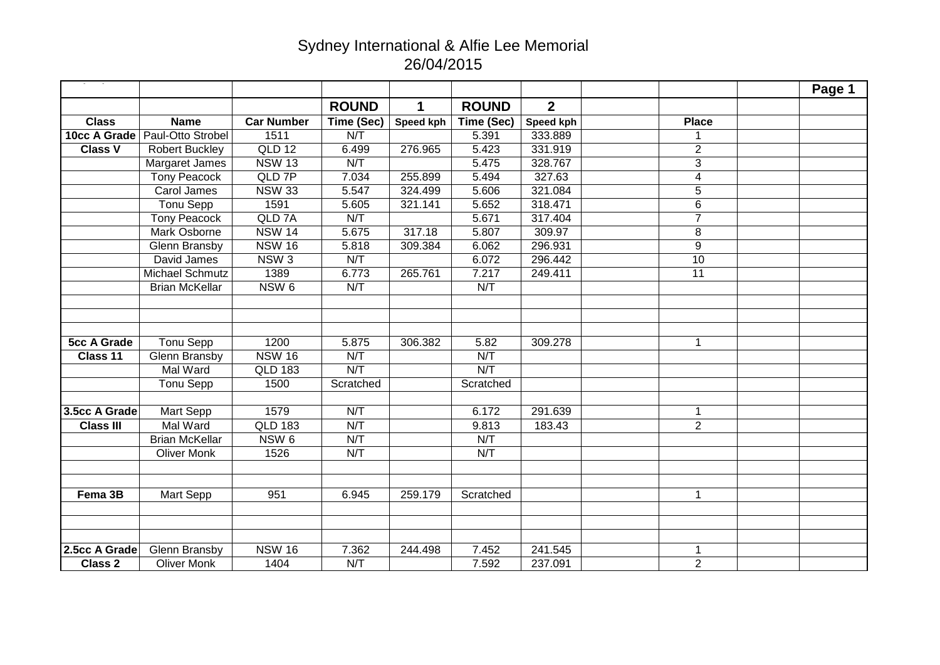## Sydney International & Alfie Lee Memorial 26/04/2015

|                    |                       |                   |              |             |              |                  |                | Page 1 |
|--------------------|-----------------------|-------------------|--------------|-------------|--------------|------------------|----------------|--------|
|                    |                       |                   | <b>ROUND</b> | $\mathbf 1$ | <b>ROUND</b> | $\overline{2}$   |                |        |
| <b>Class</b>       | <b>Name</b>           | <b>Car Number</b> | Time (Sec)   | Speed kph   | Time (Sec)   | <b>Speed kph</b> | <b>Place</b>   |        |
| 10cc A Grade       | Paul-Otto Strobel     | 1511              | N/T          |             | 5.391        | 333.889          | 1              |        |
| <b>Class V</b>     | Robert Buckley        | QLD 12            | 6.499        | 276.965     | 5.423        | 331.919          | $\overline{2}$ |        |
|                    | Margaret James        | <b>NSW 13</b>     | N/T          |             | 5.475        | 328.767          | $\overline{3}$ |        |
|                    | <b>Tony Peacock</b>   | QLD 7P            | 7.034        | 255.899     | 5.494        | 327.63           | 4              |        |
|                    | Carol James           | <b>NSW 33</b>     | 5.547        | 324.499     | 5.606        | 321.084          | $\overline{5}$ |        |
|                    | <b>Tonu Sepp</b>      | 1591              | 5.605        | 321.141     | 5.652        | 318.471          | 6              |        |
|                    | <b>Tony Peacock</b>   | QLD <sub>7A</sub> | N/T          |             | 5.671        | 317.404          | $\overline{7}$ |        |
|                    | Mark Osborne          | <b>NSW 14</b>     | 5.675        | 317.18      | 5.807        | 309.97           | 8              |        |
|                    | Glenn Bransby         | <b>NSW 16</b>     | 5.818        | 309.384     | 6.062        | 296.931          | $\overline{9}$ |        |
|                    | David James           | NSW <sub>3</sub>  | N/T          |             | 6.072        | 296.442          | 10             |        |
|                    | Michael Schmutz       | 1389              | 6.773        | 265.761     | 7.217        | 249.411          | 11             |        |
|                    | <b>Brian McKellar</b> | NSW <sub>6</sub>  | N/T          |             | N/T          |                  |                |        |
|                    |                       |                   |              |             |              |                  |                |        |
|                    |                       |                   |              |             |              |                  |                |        |
|                    |                       |                   |              |             |              |                  |                |        |
| <b>5cc A Grade</b> | <b>Tonu Sepp</b>      | 1200              | 5.875        | 306.382     | 5.82         | 309.278          | $\mathbf{1}$   |        |
| Class 11           | <b>Glenn Bransby</b>  | <b>NSW 16</b>     | N/T          |             | N/T          |                  |                |        |
|                    | Mal Ward              | <b>QLD 183</b>    | N/T          |             | N/T          |                  |                |        |
|                    | Tonu Sepp             | 1500              | Scratched    |             | Scratched    |                  |                |        |
|                    |                       |                   |              |             |              |                  |                |        |
| 3.5cc A Grade      | Mart Sepp             | 1579              | N/T          |             | 6.172        | 291.639          | $\mathbf 1$    |        |
| <b>Class III</b>   | Mal Ward              | <b>QLD 183</b>    | N/T          |             | 9.813        | 183.43           | $\overline{2}$ |        |
|                    | <b>Brian McKellar</b> | NSW <sub>6</sub>  | N/T          |             | N/T          |                  |                |        |
|                    | <b>Oliver Monk</b>    | 1526              | N/T          |             | N/T          |                  |                |        |
|                    |                       |                   |              |             |              |                  |                |        |
|                    |                       |                   |              |             |              |                  |                |        |
| Fema 3B            | Mart Sepp             | 951               | 6.945        | 259.179     | Scratched    |                  | $\mathbf{1}$   |        |
|                    |                       |                   |              |             |              |                  |                |        |
|                    |                       |                   |              |             |              |                  |                |        |
|                    |                       |                   |              |             |              |                  |                |        |
| 2.5cc A Grade      | <b>Glenn Bransby</b>  | <b>NSW 16</b>     | 7.362        | 244.498     | 7.452        | 241.545          | $\mathbf{1}$   |        |
| <b>Class 2</b>     | <b>Oliver Monk</b>    | 1404              | N/T          |             | 7.592        | 237.091          | $\overline{2}$ |        |